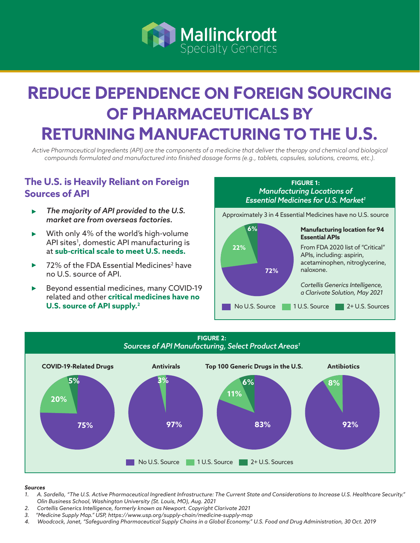

# **REDUCE DEPENDENCE ON FOREIGN SOURCING OF PHARMACEUTICALS BY RETURNING MANUFACTURING TO THE U.S.**

*Active Pharmaceutical Ingredients (API) are the components of a medicine that deliver the therapy and chemical and biological compounds formulated and manufactured into finished dosage forms (e.g., tablets, capsules, solutions, creams, etc.).*

#### **The U.S. is Heavily Reliant on Foreign Sources of API**

- *The majority of API provided to the U.S. market are from overseas factories.*
- With only 4% of the world's high-volume API sites<sup>1</sup>, domestic API manufacturing is at **sub-critical scale to meet U.S. needs.**
- 72% of the FDA Essential Medicines $^{\rm 2}$  have no U.S. source of API.
- Beyond essential medicines, many COVID-19 related and other **critical medicines have no U.S. source of API supply.2**





#### *Sources*

- *1. A. Sardella, "The U.S. Active Pharmaceutical Ingredient Infrastructure: The Current State and Considerations to Increase U.S. Healthcare Security." Olin Business School, Washington University (St. Louis, MO), Aug. 2021*
- *2. Cortellis Generics Intelligence, formerly known as Newport. Copyright Clarivate 2021*
- *3. "Medicine Supply Map." USP, https://www.usp.org/supply-chain/medicine-supply-map*
- *4. Woodcock, Janet, "Safeguarding Pharmaceutical Supply Chains in a Global Economy." U.S. Food and Drug Administration, 30 Oct. 2019*